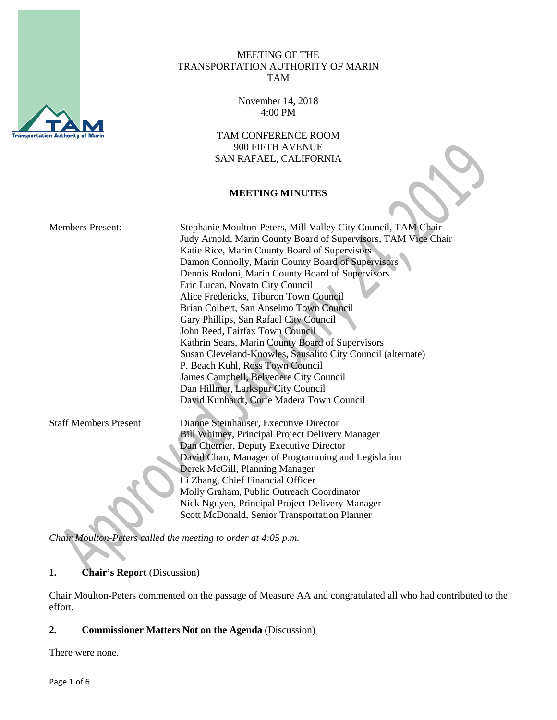

#### MEETING OF THE TRANSPORTATION AUTHORITY OF MARIN TAM

November 14, 2018 4:00 PM

TAM CONFERENCE ROOM 900 FIFTH AVENUE SAN RAFAEL, CALIFORNIA

### **MEETING MINUTES**

| <b>Members Present:</b>      | Stephanie Moulton-Peters, Mill Valley City Council, TAM Chair<br>Judy Arnold, Marin County Board of Supervisors, TAM Vice Chair<br>Katie Rice, Marin County Board of Supervisors<br>Damon Connolly, Marin County Board of Supervisors<br>Dennis Rodoni, Marin County Board of Supervisors<br>Eric Lucan, Novato City Council |
|------------------------------|------------------------------------------------------------------------------------------------------------------------------------------------------------------------------------------------------------------------------------------------------------------------------------------------------------------------------|
|                              | Alice Fredericks, Tiburon Town Council                                                                                                                                                                                                                                                                                       |
|                              | Brian Colbert, San Anselmo Town Council                                                                                                                                                                                                                                                                                      |
|                              | Gary Phillips, San Rafael City Council                                                                                                                                                                                                                                                                                       |
|                              | John Reed, Fairfax Town Council                                                                                                                                                                                                                                                                                              |
|                              | Kathrin Sears, Marin County Board of Supervisors                                                                                                                                                                                                                                                                             |
|                              | Susan Cleveland-Knowles, Sausalito City Council (alternate)                                                                                                                                                                                                                                                                  |
|                              | P. Beach Kuhl, Ross Town Council                                                                                                                                                                                                                                                                                             |
|                              | James Campbell, Belvedere City Council                                                                                                                                                                                                                                                                                       |
|                              | Dan Hillmer, Larkspur City Council                                                                                                                                                                                                                                                                                           |
|                              | David Kunhardt, Corte Madera Town Council                                                                                                                                                                                                                                                                                    |
| <b>Staff Members Present</b> | Dianne Steinhauser, Executive Director                                                                                                                                                                                                                                                                                       |
|                              | <b>Bill Whitney, Principal Project Delivery Manager</b>                                                                                                                                                                                                                                                                      |
|                              | Dan Cherrier, Deputy Executive Director                                                                                                                                                                                                                                                                                      |
|                              | David Chan, Manager of Programming and Legislation                                                                                                                                                                                                                                                                           |
|                              | Derek McGill, Planning Manager                                                                                                                                                                                                                                                                                               |
|                              | Li Zhang, Chief Financial Officer                                                                                                                                                                                                                                                                                            |
|                              | Molly Graham, Public Outreach Coordinator                                                                                                                                                                                                                                                                                    |
|                              | Nick Nguyen, Principal Project Delivery Manager                                                                                                                                                                                                                                                                              |
|                              | Scott McDonald, Senior Transportation Planner                                                                                                                                                                                                                                                                                |

*Chair Moulton-Peters called the meeting to order at 4:05 p.m.*

# **1. Chair's Report** (Discussion)

Chair Moulton-Peters commented on the passage of Measure AA and congratulated all who had contributed to the effort.

# **2. Commissioner Matters Not on the Agenda** (Discussion)

There were none.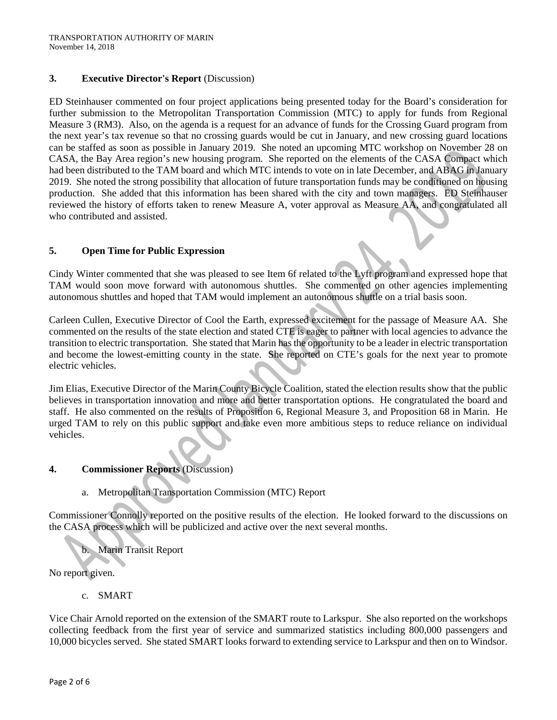#### **3. Executive Director's Report** (Discussion)

ED Steinhauser commented on four project applications being presented today for the Board's consideration for further submission to the Metropolitan Transportation Commission (MTC) to apply for funds from Regional Measure 3 (RM3). Also, on the agenda is a request for an advance of funds for the Crossing Guard program from the next year's tax revenue so that no crossing guards would be cut in January, and new crossing guard locations can be staffed as soon as possible in January 2019. She noted an upcoming MTC workshop on November 28 on CASA, the Bay Area region's new housing program. She reported on the elements of the CASA Compact which had been distributed to the TAM board and which MTC intends to vote on in late December, and ABAG in January 2019. She noted the strong possibility that allocation of future transportation funds may be conditioned on housing production. She added that this information has been shared with the city and town managers. ED Steinhauser reviewed the history of efforts taken to renew Measure A, voter approval as Measure AA, and congratulated all who contributed and assisted.

#### **5. Open Time for Public Expression**

Cindy Winter commented that she was pleased to see Item 6f related to the Lyft program and expressed hope that TAM would soon move forward with autonomous shuttles. She commented on other agencies implementing autonomous shuttles and hoped that TAM would implement an autonomous shuttle on a trial basis soon.

Carleen Cullen, Executive Director of Cool the Earth, expressed excitement for the passage of Measure AA. She commented on the results of the state election and stated CTE is eager to partner with local agencies to advance the transition to electric transportation. She stated that Marin has the opportunity to be a leader in electric transportation and become the lowest-emitting county in the state. She reported on CTE's goals for the next year to promote electric vehicles.

Jim Elias, Executive Director of the Marin County Bicycle Coalition, stated the election results show that the public believes in transportation innovation and more and better transportation options. He congratulated the board and staff. He also commented on the results of Proposition 6, Regional Measure 3, and Proposition 68 in Marin. He urged TAM to rely on this public support and take even more ambitious steps to reduce reliance on individual vehicles.

#### **4. Commissioner Reports** (Discussion)

a. Metropolitan Transportation Commission (MTC) Report

Commissioner Connolly reported on the positive results of the election. He looked forward to the discussions on the CASA process which will be publicized and active over the next several months.

b. Marin Transit Report

No report given.

c. SMART

Vice Chair Arnold reported on the extension of the SMART route to Larkspur. She also reported on the workshops collecting feedback from the first year of service and summarized statistics including 800,000 passengers and 10,000 bicycles served. She stated SMART looks forward to extending service to Larkspur and then on to Windsor.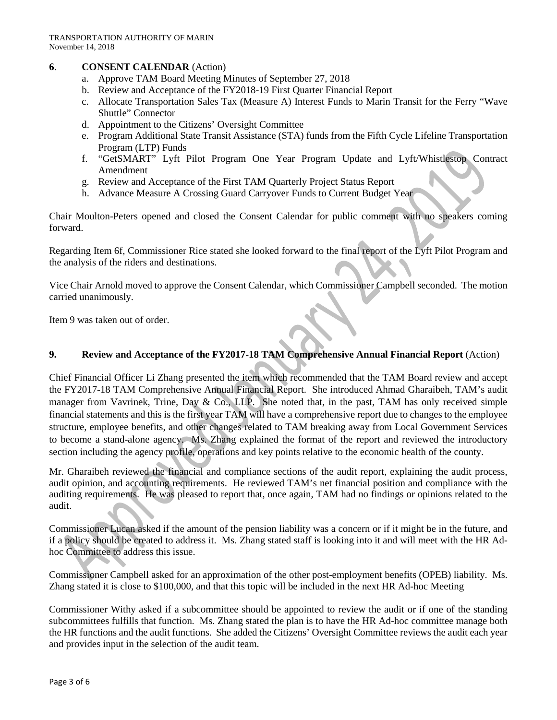### **6**. **CONSENT CALENDAR** (Action)

- a. Approve TAM Board Meeting Minutes of September 27, 2018
- b. Review and Acceptance of the FY2018-19 First Quarter Financial Report
- c. Allocate Transportation Sales Tax (Measure A) Interest Funds to Marin Transit for the Ferry "Wave Shuttle" Connector
- d. Appointment to the Citizens' Oversight Committee
- e. Program Additional State Transit Assistance (STA) funds from the Fifth Cycle Lifeline Transportation Program (LTP) Funds
- f. "GetSMART" Lyft Pilot Program One Year Program Update and Lyft/Whistlestop Contract Amendment
- g. Review and Acceptance of the First TAM Quarterly Project Status Report
- h. Advance Measure A Crossing Guard Carryover Funds to Current Budget Year

Chair Moulton-Peters opened and closed the Consent Calendar for public comment with no speakers coming forward.

Regarding Item 6f, Commissioner Rice stated she looked forward to the final report of the Lyft Pilot Program and the analysis of the riders and destinations.

Vice Chair Arnold moved to approve the Consent Calendar, which Commissioner Campbell seconded. The motion carried unanimously.

Item 9 was taken out of order.

#### **9. Review and Acceptance of the FY2017-18 TAM Comprehensive Annual Financial Report** (Action)

Chief Financial Officer Li Zhang presented the item which recommended that the TAM Board review and accept the FY2017-18 TAM Comprehensive Annual Financial Report. She introduced Ahmad Gharaibeh, TAM's audit manager from Vavrinek, Trine, Day & Co., LLP. She noted that, in the past, TAM has only received simple financial statements and this is the first year TAM will have a comprehensive report due to changes to the employee structure, employee benefits, and other changes related to TAM breaking away from Local Government Services to become a stand-alone agency. Ms. Zhang explained the format of the report and reviewed the introductory section including the agency profile, operations and key points relative to the economic health of the county.

Mr. Gharaibeh reviewed the financial and compliance sections of the audit report, explaining the audit process, audit opinion, and accounting requirements. He reviewed TAM's net financial position and compliance with the auditing requirements. He was pleased to report that, once again, TAM had no findings or opinions related to the audit.

Commissioner Lucan asked if the amount of the pension liability was a concern or if it might be in the future, and if a policy should be created to address it. Ms. Zhang stated staff is looking into it and will meet with the HR Adhoc Committee to address this issue.

Commissioner Campbell asked for an approximation of the other post-employment benefits (OPEB) liability. Ms. Zhang stated it is close to \$100,000, and that this topic will be included in the next HR Ad-hoc Meeting

Commissioner Withy asked if a subcommittee should be appointed to review the audit or if one of the standing subcommittees fulfills that function. Ms. Zhang stated the plan is to have the HR Ad-hoc committee manage both the HR functions and the audit functions. She added the Citizens' Oversight Committee reviews the audit each year and provides input in the selection of the audit team.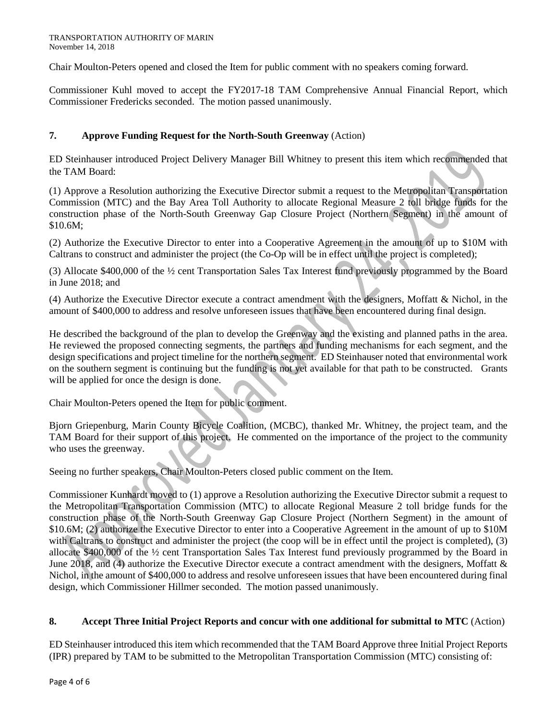Chair Moulton-Peters opened and closed the Item for public comment with no speakers coming forward.

Commissioner Kuhl moved to accept the FY2017-18 TAM Comprehensive Annual Financial Report, which Commissioner Fredericks seconded. The motion passed unanimously.

# **7. Approve Funding Request for the North-South Greenway** (Action)

ED Steinhauser introduced Project Delivery Manager Bill Whitney to present this item which recommended that the TAM Board:

(1) Approve a Resolution authorizing the Executive Director submit a request to the Metropolitan Transportation Commission (MTC) and the Bay Area Toll Authority to allocate Regional Measure 2 toll bridge funds for the construction phase of the North-South Greenway Gap Closure Project (Northern Segment) in the amount of \$10.6M;

(2) Authorize the Executive Director to enter into a Cooperative Agreement in the amount of up to \$10M with Caltrans to construct and administer the project (the Co-Op will be in effect until the project is completed);

(3) Allocate \$400,000 of the ½ cent Transportation Sales Tax Interest fund previously programmed by the Board in June 2018; and

(4) Authorize the Executive Director execute a contract amendment with the designers, Moffatt & Nichol, in the amount of \$400,000 to address and resolve unforeseen issues that have been encountered during final design.

He described the background of the plan to develop the Greenway and the existing and planned paths in the area. He reviewed the proposed connecting segments, the partners and funding mechanisms for each segment, and the design specifications and project timeline for the northern segment. ED Steinhauser noted that environmental work on the southern segment is continuing but the funding is not yet available for that path to be constructed. Grants will be applied for once the design is done.

Chair Moulton-Peters opened the Item for public comment.

Bjorn Griepenburg, Marin County Bicycle Coalition, (MCBC), thanked Mr. Whitney, the project team, and the TAM Board for their support of this project. He commented on the importance of the project to the community who uses the greenway.

Seeing no further speakers, Chair Moulton-Peters closed public comment on the Item.

Commissioner Kunhardt moved to (1) approve a Resolution authorizing the Executive Director submit a request to the Metropolitan Transportation Commission (MTC) to allocate Regional Measure 2 toll bridge funds for the construction phase of the North-South Greenway Gap Closure Project (Northern Segment) in the amount of \$10.6M; (2) authorize the Executive Director to enter into a Cooperative Agreement in the amount of up to \$10M with Caltrans to construct and administer the project (the coop will be in effect until the project is completed), (3) allocate \$400,000 of the ½ cent Transportation Sales Tax Interest fund previously programmed by the Board in June 2018, and (4) authorize the Executive Director execute a contract amendment with the designers, Moffatt & Nichol, in the amount of \$400,000 to address and resolve unforeseen issues that have been encountered during final design, which Commissioner Hillmer seconded. The motion passed unanimously.

# **8. Accept Three Initial Project Reports and concur with one additional for submittal to MTC** (Action)

ED Steinhauser introduced this item which recommended that the TAM Board Approve three Initial Project Reports (IPR) prepared by TAM to be submitted to the Metropolitan Transportation Commission (MTC) consisting of: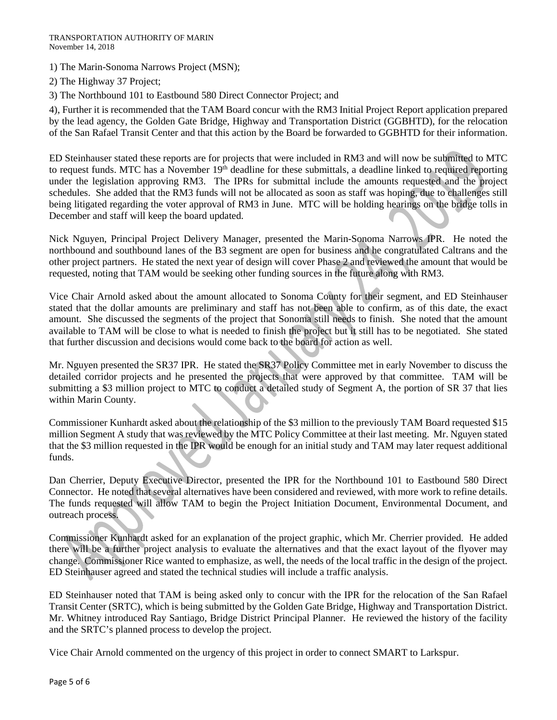#### TRANSPORTATION AUTHORITY OF MARIN November 14, 2018

1) The Marin-Sonoma Narrows Project (MSN);

2) The Highway 37 Project;

3) The Northbound 101 to Eastbound 580 Direct Connector Project; and

4), Further it is recommended that the TAM Board concur with the RM3 Initial Project Report application prepared by the lead agency, the Golden Gate Bridge, Highway and Transportation District (GGBHTD), for the relocation of the San Rafael Transit Center and that this action by the Board be forwarded to GGBHTD for their information.

ED Steinhauser stated these reports are for projects that were included in RM3 and will now be submitted to MTC to request funds. MTC has a November  $19<sup>th</sup>$  deadline for these submittals, a deadline linked to required reporting under the legislation approving RM3. The IPRs for submittal include the amounts requested and the project schedules. She added that the RM3 funds will not be allocated as soon as staff was hoping, due to challenges still being litigated regarding the voter approval of RM3 in June. MTC will be holding hearings on the bridge tolls in December and staff will keep the board updated.

Nick Nguyen, Principal Project Delivery Manager, presented the Marin-Sonoma Narrows IPR. He noted the northbound and southbound lanes of the B3 segment are open for business and he congratulated Caltrans and the other project partners. He stated the next year of design will cover Phase 2 and reviewed the amount that would be requested, noting that TAM would be seeking other funding sources in the future along with RM3.

Vice Chair Arnold asked about the amount allocated to Sonoma County for their segment, and ED Steinhauser stated that the dollar amounts are preliminary and staff has not been able to confirm, as of this date, the exact amount. She discussed the segments of the project that Sonoma still needs to finish. She noted that the amount available to TAM will be close to what is needed to finish the project but it still has to be negotiated. She stated that further discussion and decisions would come back to the board for action as well.

Mr. Nguyen presented the SR37 IPR. He stated the SR37 Policy Committee met in early November to discuss the detailed corridor projects and he presented the projects that were approved by that committee. TAM will be submitting a \$3 million project to MTC to conduct a detailed study of Segment A, the portion of SR 37 that lies within Marin County.

Commissioner Kunhardt asked about the relationship of the \$3 million to the previously TAM Board requested \$15 million Segment A study that was reviewed by the MTC Policy Committee at their last meeting. Mr. Nguyen stated that the \$3 million requested in the IPR would be enough for an initial study and TAM may later request additional funds.

Dan Cherrier, Deputy Executive Director, presented the IPR for the Northbound 101 to Eastbound 580 Direct Connector. He noted that several alternatives have been considered and reviewed, with more work to refine details. The funds requested will allow TAM to begin the Project Initiation Document, Environmental Document, and outreach process.

Commissioner Kunhardt asked for an explanation of the project graphic, which Mr. Cherrier provided. He added there will be a further project analysis to evaluate the alternatives and that the exact layout of the flyover may change. Commissioner Rice wanted to emphasize, as well, the needs of the local traffic in the design of the project. ED Steinhauser agreed and stated the technical studies will include a traffic analysis.

ED Steinhauser noted that TAM is being asked only to concur with the IPR for the relocation of the San Rafael Transit Center (SRTC), which is being submitted by the Golden Gate Bridge, Highway and Transportation District. Mr. Whitney introduced Ray Santiago, Bridge District Principal Planner. He reviewed the history of the facility and the SRTC's planned process to develop the project.

Vice Chair Arnold commented on the urgency of this project in order to connect SMART to Larkspur.